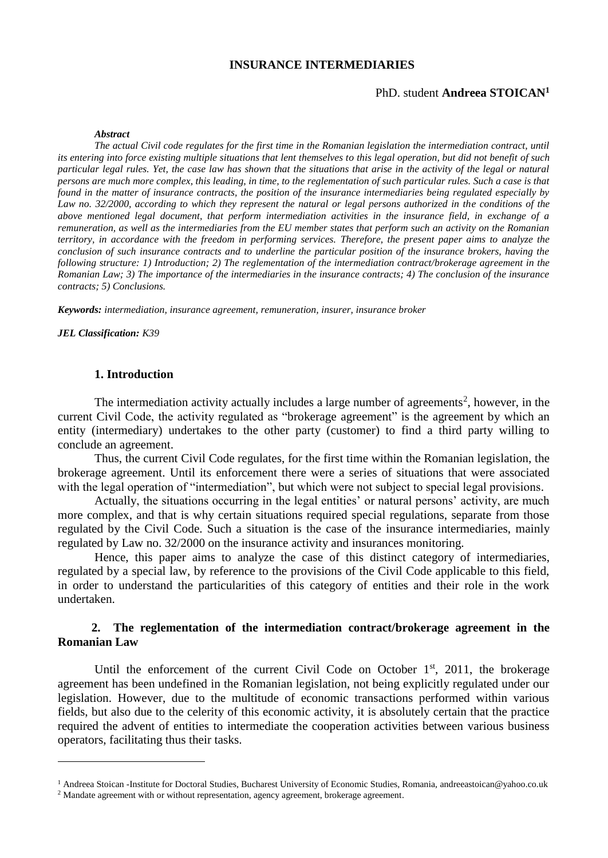# **INSURANCE INTERMEDIARIES**

#### PhD. student **Andreea STOICAN<sup>1</sup>**

#### *Abstract*

*The actual Civil code regulates for the first time in the Romanian legislation the intermediation contract, until its entering into force existing multiple situations that lent themselves to this legal operation, but did not benefit of such particular legal rules. Yet, the case law has shown that the situations that arise in the activity of the legal or natural persons are much more complex, this leading, in time, to the reglementation of such particular rules. Such a case is that found in the matter of insurance contracts, the position of the insurance intermediaries being regulated especially by*  Law no. 32/2000, according to which they represent the natural or legal persons authorized in the conditions of the *above mentioned legal document, that perform intermediation activities in the insurance field, in exchange of a remuneration, as well as the intermediaries from the EU member states that perform such an activity on the Romanian territory, in accordance with the freedom in performing services. Therefore, the present paper aims to analyze the conclusion of such insurance contracts and to underline the particular position of the insurance brokers, having the following structure: 1) Introduction; 2) The reglementation of the intermediation contract/brokerage agreement in the Romanian Law; 3) The importance of the intermediaries in the insurance contracts; 4) The conclusion of the insurance contracts; 5) Conclusions.*

*Keywords: intermediation, insurance agreement, remuneration, insurer, insurance broker*

*JEL Classification: K39*

1

### **1. Introduction**

The intermediation activity actually includes a large number of agreements<sup>2</sup>, however, in the current Civil Code, the activity regulated as "brokerage agreement" is the agreement by which an entity (intermediary) undertakes to the other party (customer) to find a third party willing to conclude an agreement.

Thus, the current Civil Code regulates, for the first time within the Romanian legislation, the brokerage agreement. Until its enforcement there were a series of situations that were associated with the legal operation of "intermediation", but which were not subject to special legal provisions.

Actually, the situations occurring in the legal entities' or natural persons' activity, are much more complex, and that is why certain situations required special regulations, separate from those regulated by the Civil Code. Such a situation is the case of the insurance intermediaries, mainly regulated by Law no. 32/2000 on the insurance activity and insurances monitoring.

Hence, this paper aims to analyze the case of this distinct category of intermediaries, regulated by a special law, by reference to the provisions of the Civil Code applicable to this field, in order to understand the particularities of this category of entities and their role in the work undertaken.

# **2. The reglementation of the intermediation contract/brokerage agreement in the Romanian Law**

Until the enforcement of the current Civil Code on October  $1<sup>st</sup>$ , 2011, the brokerage agreement has been undefined in the Romanian legislation, not being explicitly regulated under our legislation. However, due to the multitude of economic transactions performed within various fields, but also due to the celerity of this economic activity, it is absolutely certain that the practice required the advent of entities to intermediate the cooperation activities between various business operators, facilitating thus their tasks.

<sup>&</sup>lt;sup>1</sup> Andreea Stoican -Institute for Doctoral Studies, Bucharest University of Economic Studies, Romania, [andreeastoican@yahoo.co.uk](mailto:andreeastoican@yahoo.co.uk)

<sup>2</sup> Mandate agreement with or without representation, agency agreement, brokerage agreement.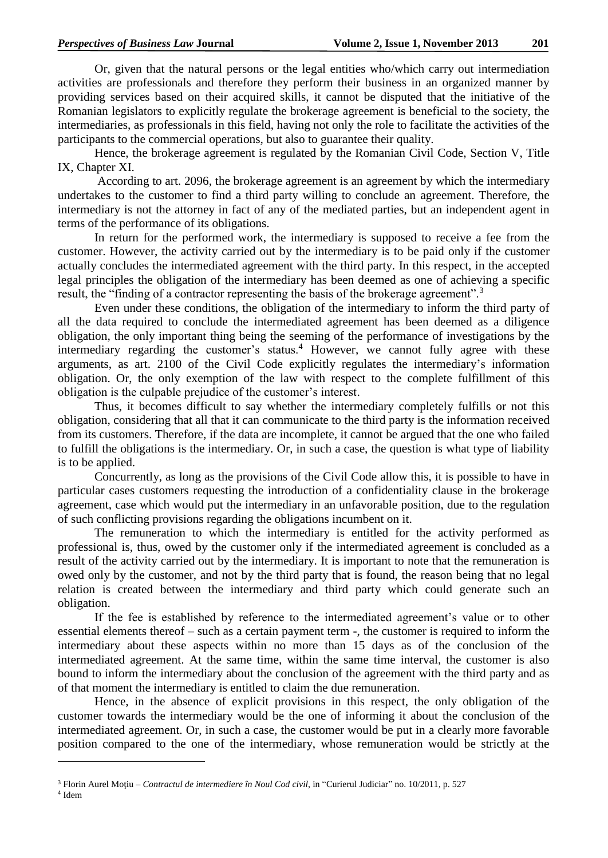Or, given that the natural persons or the legal entities who/which carry out intermediation activities are professionals and therefore they perform their business in an organized manner by providing services based on their acquired skills, it cannot be disputed that the initiative of the Romanian legislators to explicitly regulate the brokerage agreement is beneficial to the society, the intermediaries, as professionals in this field, having not only the role to facilitate the activities of the participants to the commercial operations, but also to guarantee their quality.

Hence, the brokerage agreement is regulated by the Romanian Civil Code, Section V, Title IX, Chapter XI.

According to art. 2096, the brokerage agreement is an agreement by which the intermediary undertakes to the customer to find a third party willing to conclude an agreement. Therefore, the intermediary is not the attorney in fact of any of the mediated parties, but an independent agent in terms of the performance of its obligations.

In return for the performed work, the intermediary is supposed to receive a fee from the customer. However, the activity carried out by the intermediary is to be paid only if the customer actually concludes the intermediated agreement with the third party. In this respect, in the accepted legal principles the obligation of the intermediary has been deemed as one of achieving a specific result, the "finding of a contractor representing the basis of the brokerage agreement".<sup>3</sup>

Even under these conditions, the obligation of the intermediary to inform the third party of all the data required to conclude the intermediated agreement has been deemed as a diligence obligation, the only important thing being the seeming of the performance of investigations by the intermediary regarding the customer's status.<sup>4</sup> However, we cannot fully agree with these arguments, as art. 2100 of the Civil Code explicitly regulates the intermediary's information obligation. Or, the only exemption of the law with respect to the complete fulfillment of this obligation is the culpable prejudice of the customer's interest.

Thus, it becomes difficult to say whether the intermediary completely fulfills or not this obligation, considering that all that it can communicate to the third party is the information received from its customers. Therefore, if the data are incomplete, it cannot be argued that the one who failed to fulfill the obligations is the intermediary. Or, in such a case, the question is what type of liability is to be applied.

Concurrently, as long as the provisions of the Civil Code allow this, it is possible to have in particular cases customers requesting the introduction of a confidentiality clause in the brokerage agreement, case which would put the intermediary in an unfavorable position, due to the regulation of such conflicting provisions regarding the obligations incumbent on it.

The remuneration to which the intermediary is entitled for the activity performed as professional is, thus, owed by the customer only if the intermediated agreement is concluded as a result of the activity carried out by the intermediary. It is important to note that the remuneration is owed only by the customer, and not by the third party that is found, the reason being that no legal relation is created between the intermediary and third party which could generate such an obligation.

If the fee is established by reference to the intermediated agreement's value or to other essential elements thereof – such as a certain payment term -, the customer is required to inform the intermediary about these aspects within no more than 15 days as of the conclusion of the intermediated agreement. At the same time, within the same time interval, the customer is also bound to inform the intermediary about the conclusion of the agreement with the third party and as of that moment the intermediary is entitled to claim the due remuneration.

Hence, in the absence of explicit provisions in this respect, the only obligation of the customer towards the intermediary would be the one of informing it about the conclusion of the intermediated agreement. Or, in such a case, the customer would be put in a clearly more favorable position compared to the one of the intermediary, whose remuneration would be strictly at the

1

<sup>3</sup> Florin Aurel Moţiu – *Contractul de intermediere în Noul Cod civil*, in "Curierul Judiciar" no. 10/2011, p. 527

<sup>4</sup> Idem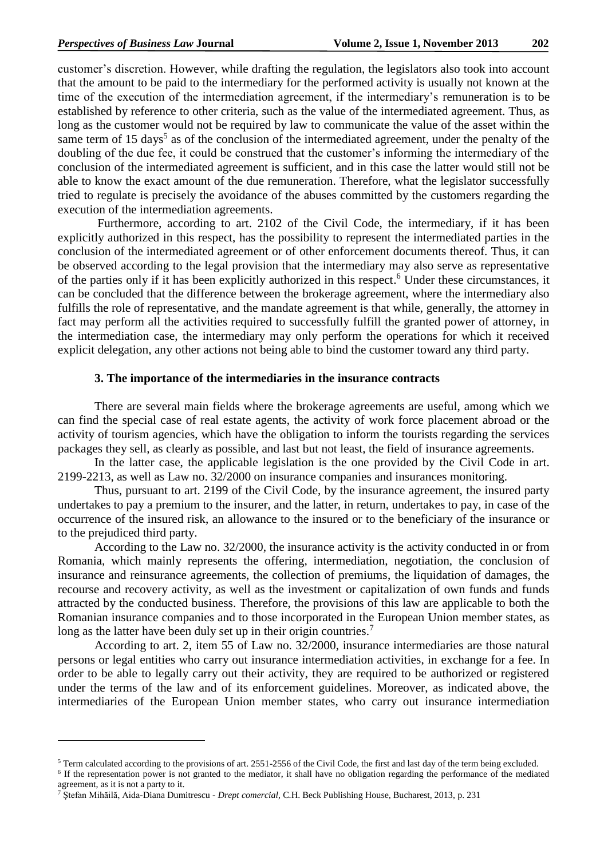customer's discretion. However, while drafting the regulation, the legislators also took into account that the amount to be paid to the intermediary for the performed activity is usually not known at the time of the execution of the intermediation agreement, if the intermediary's remuneration is to be established by reference to other criteria, such as the value of the intermediated agreement. Thus, as long as the customer would not be required by law to communicate the value of the asset within the same term of 15 days<sup>5</sup> as of the conclusion of the intermediated agreement, under the penalty of the doubling of the due fee, it could be construed that the customer's informing the intermediary of the conclusion of the intermediated agreement is sufficient, and in this case the latter would still not be able to know the exact amount of the due remuneration. Therefore, what the legislator successfully tried to regulate is precisely the avoidance of the abuses committed by the customers regarding the execution of the intermediation agreements.

Furthermore, according to art. 2102 of the Civil Code, the intermediary, if it has been explicitly authorized in this respect, has the possibility to represent the intermediated parties in the conclusion of the intermediated agreement or of other enforcement documents thereof. Thus, it can be observed according to the legal provision that the intermediary may also serve as representative of the parties only if it has been explicitly authorized in this respect. <sup>6</sup> Under these circumstances, it can be concluded that the difference between the brokerage agreement, where the intermediary also fulfills the role of representative, and the mandate agreement is that while, generally, the attorney in fact may perform all the activities required to successfully fulfill the granted power of attorney, in the intermediation case, the intermediary may only perform the operations for which it received explicit delegation, any other actions not being able to bind the customer toward any third party.

#### **3. The importance of the intermediaries in the insurance contracts**

There are several main fields where the brokerage agreements are useful, among which we can find the special case of real estate agents, the activity of work force placement abroad or the activity of tourism agencies, which have the obligation to inform the tourists regarding the services packages they sell, as clearly as possible, and last but not least, the field of insurance agreements.

In the latter case, the applicable legislation is the one provided by the Civil Code in art. 2199-2213, as well as Law no. 32/2000 on insurance companies and insurances monitoring.

Thus, pursuant to art. 2199 of the Civil Code, by the insurance agreement, the insured party undertakes to pay a premium to the insurer, and the latter, in return, undertakes to pay, in case of the occurrence of the insured risk, an allowance to the insured or to the beneficiary of the insurance or to the prejudiced third party.

According to the Law no. 32/2000, the insurance activity is the activity conducted in or from Romania, which mainly represents the offering, intermediation, negotiation, the conclusion of insurance and reinsurance agreements, the collection of premiums, the liquidation of damages, the recourse and recovery activity, as well as the investment or capitalization of own funds and funds attracted by the conducted business. Therefore, the provisions of this law are applicable to both the Romanian insurance companies and to those incorporated in the European Union member states, as long as the latter have been duly set up in their origin countries.<sup>7</sup>

According to art. 2, item 55 of Law no. 32/2000, insurance intermediaries are those natural persons or legal entities who carry out insurance intermediation activities, in exchange for a fee. In order to be able to legally carry out their activity, they are required to be authorized or registered under the terms of the law and of its enforcement guidelines. Moreover, as indicated above, the intermediaries of the European Union member states, who carry out insurance intermediation

1

<sup>5</sup> Term calculated according to the provisions of art. 2551-2556 of the Civil Code, the first and last day of the term being excluded.

<sup>&</sup>lt;sup>6</sup> If the representation power is not granted to the mediator, it shall have no obligation regarding the performance of the mediated agreement, as it is not a party to it.

<sup>7</sup> Ştefan Mihăilă, Aida-Diana Dumitrescu - *Drept comercial*, C.H. Beck Publishing House, Bucharest, 2013, p. 231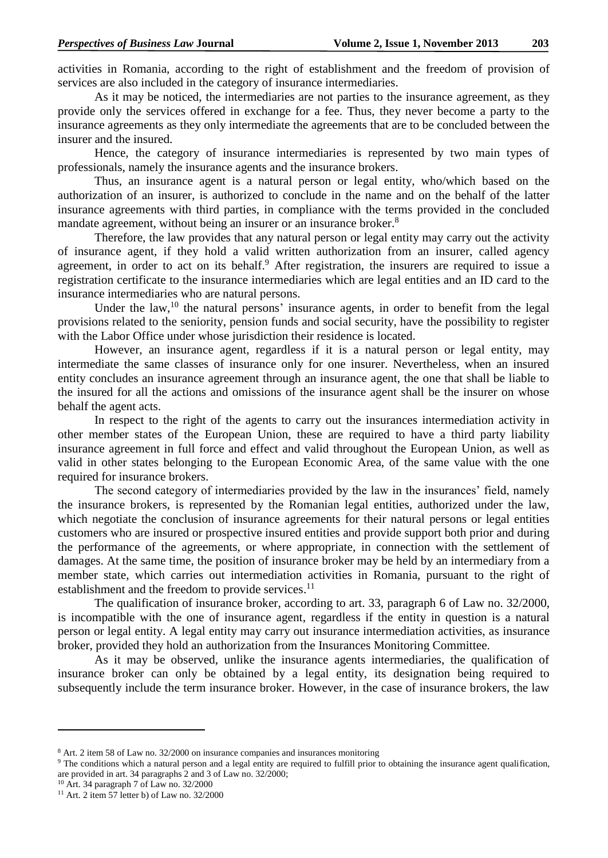activities in Romania, according to the right of establishment and the freedom of provision of services are also included in the category of insurance intermediaries.

As it may be noticed, the intermediaries are not parties to the insurance agreement, as they provide only the services offered in exchange for a fee. Thus, they never become a party to the insurance agreements as they only intermediate the agreements that are to be concluded between the insurer and the insured.

Hence, the category of insurance intermediaries is represented by two main types of professionals, namely the insurance agents and the insurance brokers.

Thus, an insurance agent is a natural person or legal entity, who/which based on the authorization of an insurer, is authorized to conclude in the name and on the behalf of the latter insurance agreements with third parties, in compliance with the terms provided in the concluded mandate agreement, without being an insurer or an insurance broker.<sup>8</sup>

Therefore, the law provides that any natural person or legal entity may carry out the activity of insurance agent, if they hold a valid written authorization from an insurer, called agency agreement, in order to act on its behalf.<sup>9</sup> After registration, the insurers are required to issue a registration certificate to the insurance intermediaries which are legal entities and an ID card to the insurance intermediaries who are natural persons.

Under the law,  $10$  the natural persons' insurance agents, in order to benefit from the legal provisions related to the seniority, pension funds and social security, have the possibility to register with the Labor Office under whose jurisdiction their residence is located.

However, an insurance agent, regardless if it is a natural person or legal entity, may intermediate the same classes of insurance only for one insurer. Nevertheless, when an insured entity concludes an insurance agreement through an insurance agent, the one that shall be liable to the insured for all the actions and omissions of the insurance agent shall be the insurer on whose behalf the agent acts.

In respect to the right of the agents to carry out the insurances intermediation activity in other member states of the European Union, these are required to have a third party liability insurance agreement in full force and effect and valid throughout the European Union, as well as valid in other states belonging to the European Economic Area, of the same value with the one required for insurance brokers.

The second category of intermediaries provided by the law in the insurances' field, namely the insurance brokers, is represented by the Romanian legal entities, authorized under the law, which negotiate the conclusion of insurance agreements for their natural persons or legal entities customers who are insured or prospective insured entities and provide support both prior and during the performance of the agreements, or where appropriate, in connection with the settlement of damages. At the same time, the position of insurance broker may be held by an intermediary from a member state, which carries out intermediation activities in Romania, pursuant to the right of establishment and the freedom to provide services.<sup>11</sup>

The qualification of insurance broker, according to art. 33, paragraph 6 of Law no. 32/2000, is incompatible with the one of insurance agent, regardless if the entity in question is a natural person or legal entity. A legal entity may carry out insurance intermediation activities, as insurance broker, provided they hold an authorization from the Insurances Monitoring Committee.

As it may be observed, unlike the insurance agents intermediaries, the qualification of insurance broker can only be obtained by a legal entity, its designation being required to subsequently include the term insurance broker. However, in the case of insurance brokers, the law

**.** 

<sup>8</sup> Art. 2 item 58 of Law no. 32/2000 on insurance companies and insurances monitoring

<sup>&</sup>lt;sup>9</sup> The conditions which a natural person and a legal entity are required to fulfill prior to obtaining the insurance agent qualification, are provided in art. 34 paragraphs 2 and 3 of Law no. 32/2000;

<sup>10</sup> Art. 34 paragraph 7 of Law no. 32/2000

 $11$  Art. 2 item 57 letter b) of Law no. 32/2000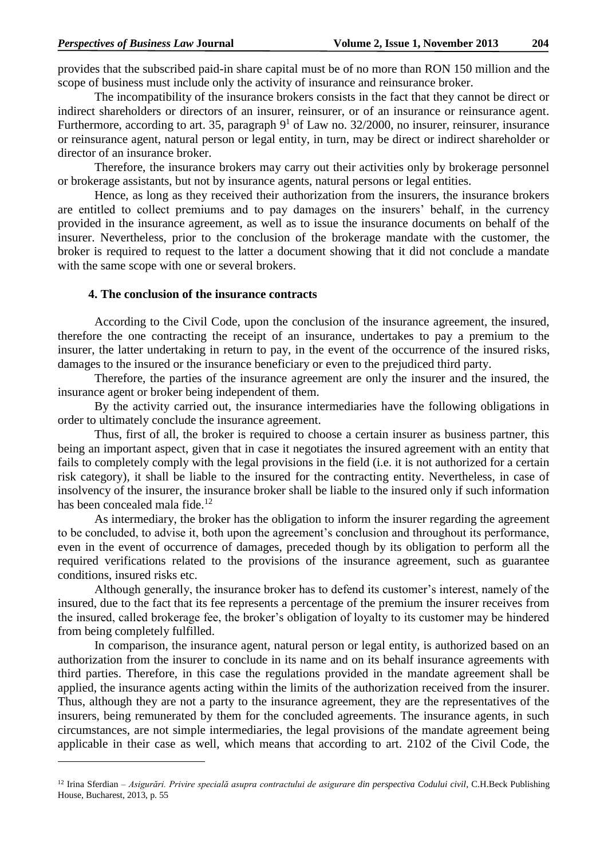1

provides that the subscribed paid-in share capital must be of no more than RON 150 million and the scope of business must include only the activity of insurance and reinsurance broker.

The incompatibility of the insurance brokers consists in the fact that they cannot be direct or indirect shareholders or directors of an insurer, reinsurer, or of an insurance or reinsurance agent. Furthermore, according to art. 35, paragraph  $9<sup>1</sup>$  of Law no. 32/2000, no insurer, reinsurer, insurance or reinsurance agent, natural person or legal entity, in turn, may be direct or indirect shareholder or director of an insurance broker.

Therefore, the insurance brokers may carry out their activities only by brokerage personnel or brokerage assistants, but not by insurance agents, natural persons or legal entities.

Hence, as long as they received their authorization from the insurers, the insurance brokers are entitled to collect premiums and to pay damages on the insurers' behalf, in the currency provided in the insurance agreement, as well as to issue the insurance documents on behalf of the insurer. Nevertheless, prior to the conclusion of the brokerage mandate with the customer, the broker is required to request to the latter a document showing that it did not conclude a mandate with the same scope with one or several brokers.

### **4. The conclusion of the insurance contracts**

According to the Civil Code, upon the conclusion of the insurance agreement, the insured, therefore the one contracting the receipt of an insurance, undertakes to pay a premium to the insurer, the latter undertaking in return to pay, in the event of the occurrence of the insured risks, damages to the insured or the insurance beneficiary or even to the prejudiced third party.

Therefore, the parties of the insurance agreement are only the insurer and the insured, the insurance agent or broker being independent of them.

By the activity carried out, the insurance intermediaries have the following obligations in order to ultimately conclude the insurance agreement.

Thus, first of all, the broker is required to choose a certain insurer as business partner, this being an important aspect, given that in case it negotiates the insured agreement with an entity that fails to completely comply with the legal provisions in the field (i.e. it is not authorized for a certain risk category), it shall be liable to the insured for the contracting entity. Nevertheless, in case of insolvency of the insurer, the insurance broker shall be liable to the insured only if such information has been concealed mala fide.<sup>12</sup>

As intermediary, the broker has the obligation to inform the insurer regarding the agreement to be concluded, to advise it, both upon the agreement's conclusion and throughout its performance, even in the event of occurrence of damages, preceded though by its obligation to perform all the required verifications related to the provisions of the insurance agreement, such as guarantee conditions, insured risks etc.

Although generally, the insurance broker has to defend its customer's interest, namely of the insured, due to the fact that its fee represents a percentage of the premium the insurer receives from the insured, called brokerage fee, the broker's obligation of loyalty to its customer may be hindered from being completely fulfilled.

In comparison, the insurance agent, natural person or legal entity, is authorized based on an authorization from the insurer to conclude in its name and on its behalf insurance agreements with third parties. Therefore, in this case the regulations provided in the mandate agreement shall be applied, the insurance agents acting within the limits of the authorization received from the insurer. Thus, although they are not a party to the insurance agreement, they are the representatives of the insurers, being remunerated by them for the concluded agreements. The insurance agents, in such circumstances, are not simple intermediaries, the legal provisions of the mandate agreement being applicable in their case as well, which means that according to art. 2102 of the Civil Code, the

<sup>&</sup>lt;sup>12</sup> Irina Sferdian – Asigurări. Privire specială asupra contractului de asigurare din perspectiva Codului civil, C.H.Beck Publishing House, Bucharest, 2013, p. 55